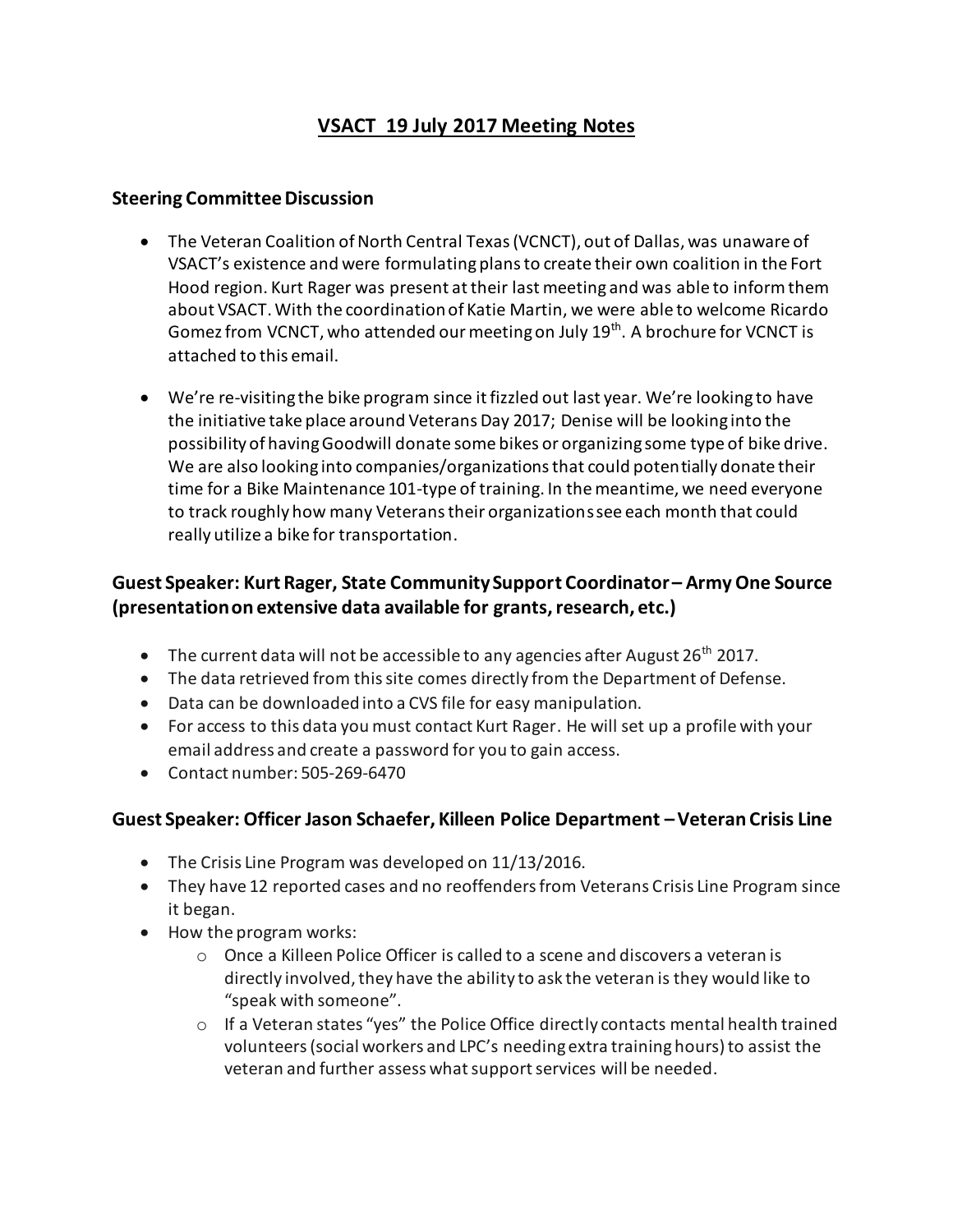# **VSACT 19 July 2017 Meeting Notes**

#### **Steering Committee Discussion**

- The Veteran Coalition of North Central Texas (VCNCT), out of Dallas, was unaware of VSACT's existence and were formulating plans to create their own coalition in the Fort Hood region. Kurt Rager was present at their last meeting and was able to inform them about VSACT. With the coordination of Katie Martin, we were able to welcome Ricardo Gomez from VCNCT, who attended our meeting on July 19<sup>th</sup>. A brochure for VCNCT is attached to this email.
- We're re-visiting the bike program since it fizzled out last year. We're looking to have the initiative take place around Veterans Day 2017; Denise will be looking into the possibility of having Goodwill donate some bikes or organizing some type of bike drive. We are also looking into companies/organizations that could potentially donate their time for a Bike Maintenance 101-type of training. In the meantime, we need everyone to track roughly how many Veterans their organizations see each month that could really utilize a bike for transportation.

## **Guest Speaker: Kurt Rager, State Community Support Coordinator – Army One Source (presentation on extensive data available for grants, research, etc.)**

- The current data will not be accessible to any agencies after August  $26^{th}$  2017.
- The data retrieved from this site comes directly from the Department of Defense.
- Data can be downloaded into a CVS file for easy manipulation.
- For access to this data you must contact Kurt Rager. He will set up a profile with your email address and create a password for you to gain access.
- Contact number: 505-269-6470

### **Guest Speaker: Officer Jason Schaefer, Killeen Police Department –Veteran Crisis Line**

- The Crisis Line Program was developed on 11/13/2016.
- They have 12 reported cases and no reoffenders from Veterans Crisis Line Program since it began.
- How the program works:
	- $\circ$  Once a Killeen Police Officer is called to a scene and discovers a veteran is directly involved, they have the ability to ask the veteran is they would like to "speak with someone".
	- $\circ$  If a Veteran states "yes" the Police Office directly contacts mental health trained volunteers (social workers and LPC's needing extra training hours) to assist the veteran and further assess what support services will be needed.